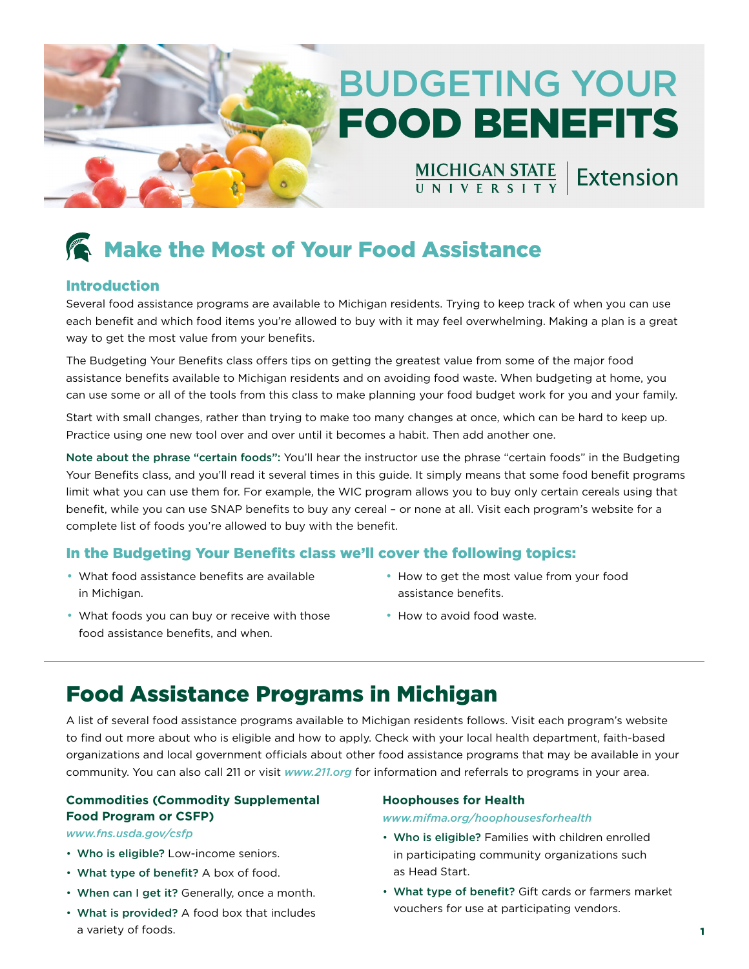# BUDGETING YOUR FOOD BENEFITS

MICHIGAN STATE | Extension

## Make the Most of Your Food Assistance

#### Introduction

Several food assistance programs are available to Michigan residents. Trying to keep track of when you can use each benefit and which food items you're allowed to buy with it may feel overwhelming. Making a plan is a great way to get the most value from your benefits.

The Budgeting Your Benefits class offers tips on getting the greatest value from some of the major food assistance benefts available to Michigan residents and on avoiding food waste. When budgeting at home, you can use some or all of the tools from this class to make planning your food budget work for you and your family.

Start with small changes, rather than trying to make too many changes at once, which can be hard to keep up. Practice using one new tool over and over until it becomes a habit. Then add another one.

Note about the phrase "certain foods": You'll hear the instructor use the phrase "certain foods" in the Budgeting Your Benefits class, and you'll read it several times in this guide. It simply means that some food benefit programs limit what you can use them for. For example, the WIC program allows you to buy only certain cereals using that beneft, while you can use SNAP benefts to buy any cereal – or none at all. Visit each program's website for a complete list of foods you're allowed to buy with the beneft.

### In the Budgeting Your Benefts class we'll cover the following topics:

- What food assistance benefits are available in Michigan. **and Science Science and Science Automobile** assistance benefits.
	- How to get the most value from your food
- What foods you can buy or receive with those **•** How to avoid food waste. food assistance benefits, and when.
- 

### Food Assistance Programs in Michigan

A list of several food assistance programs available to Michigan residents follows. Visit each program's website to fnd out more about who is eligible and how to apply. Check with your local health department, faith-based organizations and local government officials about other food assistance programs that may be available in your community. You can also call 211 or visit *[www.211.org](http://www.211.org)* for information and referrals to programs in your area.

#### **Commodities (Commodity Supplemental Hoophouses for Health Food Program or CSFP)** *[www.mifma.org/hoophousesforhealth](http://www.mifma.org/hoophousesforhealth)*

- 
- What type of benefit? A box of food. The same as Head Start.
- 
- What is provided? A food box that includes vouchers for use at participating vendors. a variety of foods. **1**

- *[www.fns.usda.gov/csfp](http://www.fns.usda.gov/csfp)*  Who is eligible? Families with children enrolled • Who is eligible? Low-income seniors. in participating community organizations such
- When can I get it? Generally, once a month. What type of benefit? Gift cards or farmers market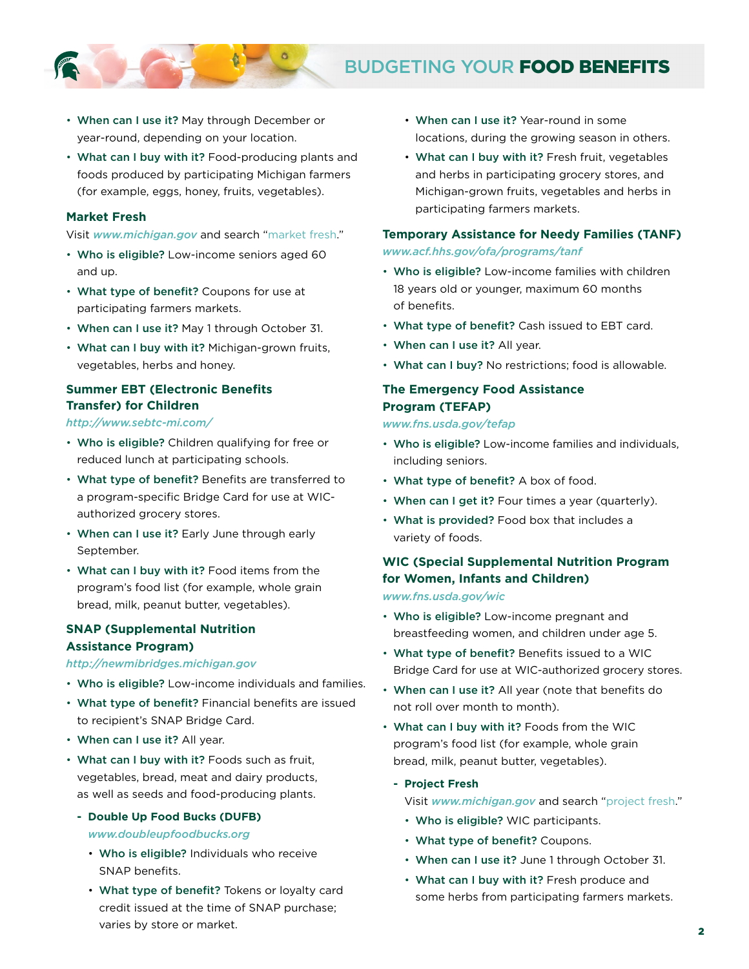

### BUDGETING YOUR FOOD BENEFITS

- When can I use it? May through December or year-round, depending on your location.
- What can I buy with it? Food-producing plants and foods produced by participating Michigan farmers (for example, eggs, honey, fruits, vegetables).

#### **Market Fresh**

#### Visit *[www.michigan.gov](http://www.michigan.gov)* and search "market fresh."

- Who is eligible? Low-income seniors aged 60 and up.
- What type of benefit? Coupons for use at participating farmers markets.
- When can I use it? May 1 through October 31.
- What can I buy with it? Michigan-grown fruits, vegetables, herbs and honey.

#### **Summer EBT (Electronic Benefits Transfer) for Children**

#### *<http://www.sebtc-mi.com/>*

- Who is eligible? Children qualifying for free or reduced lunch at participating schools.
- What type of benefit? Benefits are transferred to a program-specific Bridge Card for use at WICauthorized grocery stores.
- When can I use it? Early June through early September.
- What can I buy with it? Food items from the program's food list (for example, whole grain bread, milk, peanut butter, vegetables).

#### **SNAP (Supplemental Nutrition Assistance Program)**

#### *<http://newmibridges.michigan.gov>*

- Who is eligible? Low-income individuals and families.
- What type of benefit? Financial benefits are issued to recipient's SNAP Bridge Card.
- When can I use it? All year.
- What can I buy with it? Foods such as fruit, vegetables, bread, meat and dairy products, as well as seeds and food-producing plants.
	- **Double Up Food Bucks (DUFB)**  *[www.doubleupfoodbucks.org](http://www.doubleupfoodbucks.org)* 
		- Who is eligible? Individuals who receive SNAP benefits.
		- What type of benefit? Tokens or loyalty card credit issued at the time of SNAP purchase; varies by store or market.
- When can I use it? Year-round in some locations, during the growing season in others.
- What can I buy with it? Fresh fruit, vegetables and herbs in participating grocery stores, and Michigan-grown fruits, vegetables and herbs in participating farmers markets.

#### **Temporary Assistance for Needy Families (TANF)**

#### *[www.acf.hhs.gov/ofa/programs/tanf](http://www.acf.hhs.gov/ofa/programs/tanf)*

- Who is eligible? Low-income families with children 18 years old or younger, maximum 60 months of benefits.
- What type of benefit? Cash issued to EBT card.
- When can I use it? All year.
- What can I buy? No restrictions; food is allowable.

#### **The Emergency Food Assistance Program (TEFAP)**

#### *[www.fns.usda.gov/tefap](http://www.fns.usda.gov/tefap)*

- • Who is eligible? Low-income families and individuals, including seniors.
- What type of benefit? A box of food.
- When can I get it? Four times a year (quarterly).
- What is provided? Food box that includes a variety of foods.

#### **WIC (Special Supplemental Nutrition Program for Women, Infants and Children)**  *[www.fns.usda.gov/wic](http://www.fns.usda.gov/wic)*

- Who is eligible? Low-income pregnant and breastfeeding women, and children under age 5.
- What type of benefit? Benefits issued to a WIC Bridge Card for use at WIC-authorized grocery stores.
- When can I use it? All year (note that benefits do not roll over month to month).
- What can I buy with it? Foods from the WIC program's food list (for example, whole grain bread, milk, peanut butter, vegetables).
	- **Project Fresh** 
		- Visit *[www.michigan.gov](http://www.michigan.gov)* and search "project fresh."
		- Who is eligible? WIC participants.
		- What type of benefit? Coupons.
		- When can I use it? June 1 through October 31.
		- What can I buy with it? Fresh produce and some herbs from participating farmers markets.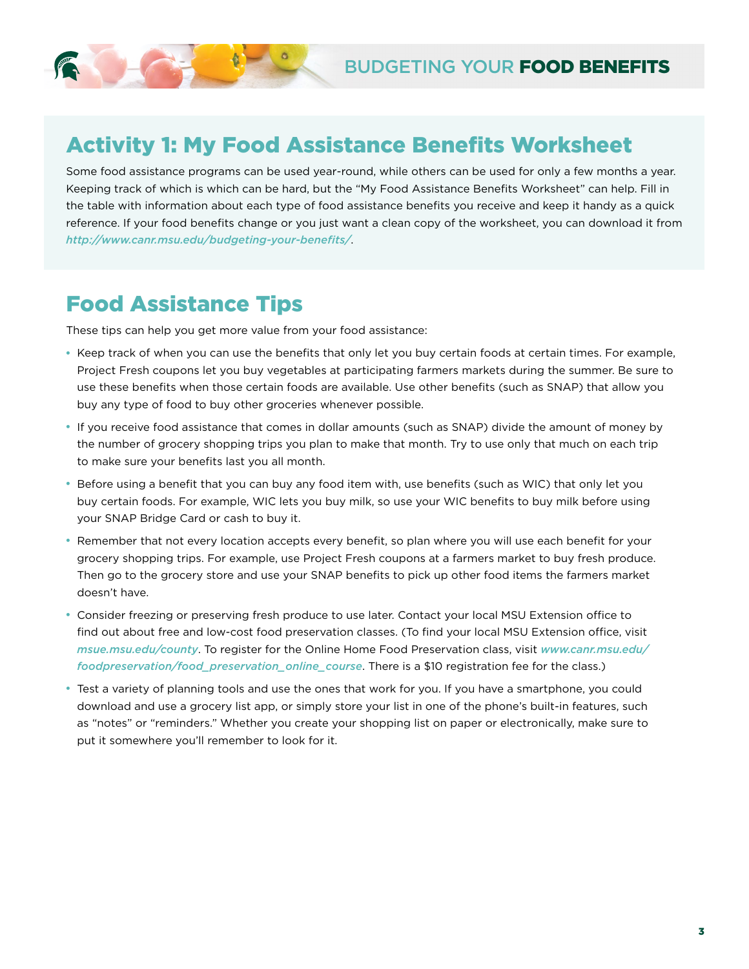### **Activity 1: My Food Assistance Benefits Worksheet**

Some food assistance programs can be used year-round, while others can be used for only a few months a year. Keeping track of which is which can be hard, but the "My Food Assistance Benefts Worksheet" can help. Fill in the table with information about each type of food assistance benefts you receive and keep it handy as a quick reference. If your food benefits change or you just want a clean copy of the worksheet, you can download it from *[http://www.canr.msu.edu/budgeting-your-benefts/](http://www.canr.msu.edu/budgeting-your-benefits/)*.

### Food Assistance Tips

These tips can help you get more value from your food assistance:

- Keep track of when you can use the benefts that only let you buy certain foods at certain times. For example, Project Fresh coupons let you buy vegetables at participating farmers markets during the summer. Be sure to use these benefts when those certain foods are available. Use other benefts (such as SNAP) that allow you buy any type of food to buy other groceries whenever possible.
- If you receive food assistance that comes in dollar amounts (such as SNAP) divide the amount of money by the number of grocery shopping trips you plan to make that month. Try to use only that much on each trip to make sure your benefts last you all month.
- Before using a benefit that you can buy any food item with, use benefits (such as WIC) that only let you buy certain foods. For example, WIC lets you buy milk, so use your WIC benefts to buy milk before using your SNAP Bridge Card or cash to buy it.
- Remember that not every location accepts every beneft, so plan where you will use each beneft for your grocery shopping trips. For example, use Project Fresh coupons at a farmers market to buy fresh produce. Then go to the grocery store and use your SNAP benefits to pick up other food items the farmers market doesn't have.
- find out about free and low-cost food preservation classes. (To find your local MSU Extension office, visit • Consider freezing or preserving fresh produce to use later. Contact your local MSU Extension office to *[msue.msu.edu/county](http://msue.msu.edu/county)*. To register for the Online Home Food Preservation class, visit *[www.canr.msu.edu/](http://www.canr.msu.edu/foodpreservation/food_preservation_online_course)  [foodpreservation/food\\_preservation\\_online\\_course](http://www.canr.msu.edu/foodpreservation/food_preservation_online_course)*. There is a \$10 registration fee for the class.)
- Test a variety of planning tools and use the ones that work for you. If you have a smartphone, you could download and use a grocery list app, or simply store your list in one of the phone's built-in features, such as "notes" or "reminders." Whether you create your shopping list on paper or electronically, make sure to put it somewhere you'll remember to look for it.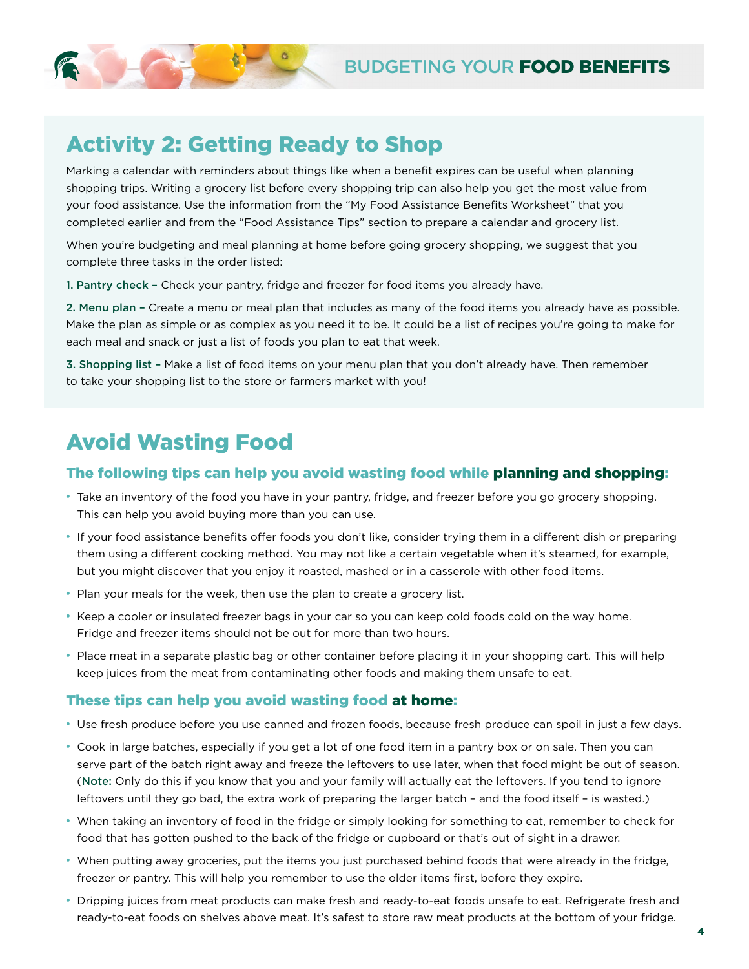

### Activity 2: Getting Ready to Shop

Marking a calendar with reminders about things like when a beneft expires can be useful when planning shopping trips. Writing a grocery list before every shopping trip can also help you get the most value from your food assistance. Use the information from the "My Food Assistance Benefts Worksheet" that you completed earlier and from the "Food Assistance Tips" section to prepare a calendar and grocery list.

When you're budgeting and meal planning at home before going grocery shopping, we suggest that you complete three tasks in the order listed:

1. Pantry check – Check your pantry, fridge and freezer for food items you already have.

2. Menu plan – Create a menu or meal plan that includes as many of the food items you already have as possible. Make the plan as simple or as complex as you need it to be. It could be a list of recipes you're going to make for each meal and snack or just a list of foods you plan to eat that week.

3. Shopping list – Make a list of food items on your menu plan that you don't already have. Then remember to take your shopping list to the store or farmers market with you!

## Avoid Wasting Food

### The following tips can help you avoid wasting food while planning and shopping:

- Take an inventory of the food you have in your pantry, fridge, and freezer before you go grocery shopping. This can help you avoid buying more than you can use.
- If your food assistance benefits offer foods you don't like, consider trying them in a different dish or preparing them using a diferent cooking method. You may not like a certain vegetable when it's steamed, for example, but you might discover that you enjoy it roasted, mashed or in a casserole with other food items.
- Plan your meals for the week, then use the plan to create a grocery list.
- Keep a cooler or insulated freezer bags in your car so you can keep cold foods cold on the way home. Fridge and freezer items should not be out for more than two hours.
- Place meat in a separate plastic bag or other container before placing it in your shopping cart. This will help keep juices from the meat from contaminating other foods and making them unsafe to eat.

### These tips can help you avoid wasting food at home:

- Use fresh produce before you use canned and frozen foods, because fresh produce can spoil in just a few days.
- Cook in large batches, especially if you get a lot of one food item in a pantry box or on sale. Then you can serve part of the batch right away and freeze the leftovers to use later, when that food might be out of season. (Note: Only do this if you know that you and your family will actually eat the leftovers. If you tend to ignore leftovers until they go bad, the extra work of preparing the larger batch – and the food itself – is wasted.)
- When taking an inventory of food in the fridge or simply looking for something to eat, remember to check for food that has gotten pushed to the back of the fridge or cupboard or that's out of sight in a drawer.
- When putting away groceries, put the items you just purchased behind foods that were already in the fridge, freezer or pantry. This will help you remember to use the older items frst, before they expire.
- Dripping juices from meat products can make fresh and ready-to-eat foods unsafe to eat. Refrigerate fresh and ready-to-eat foods on shelves above meat. It's safest to store raw meat products at the bottom of your fridge.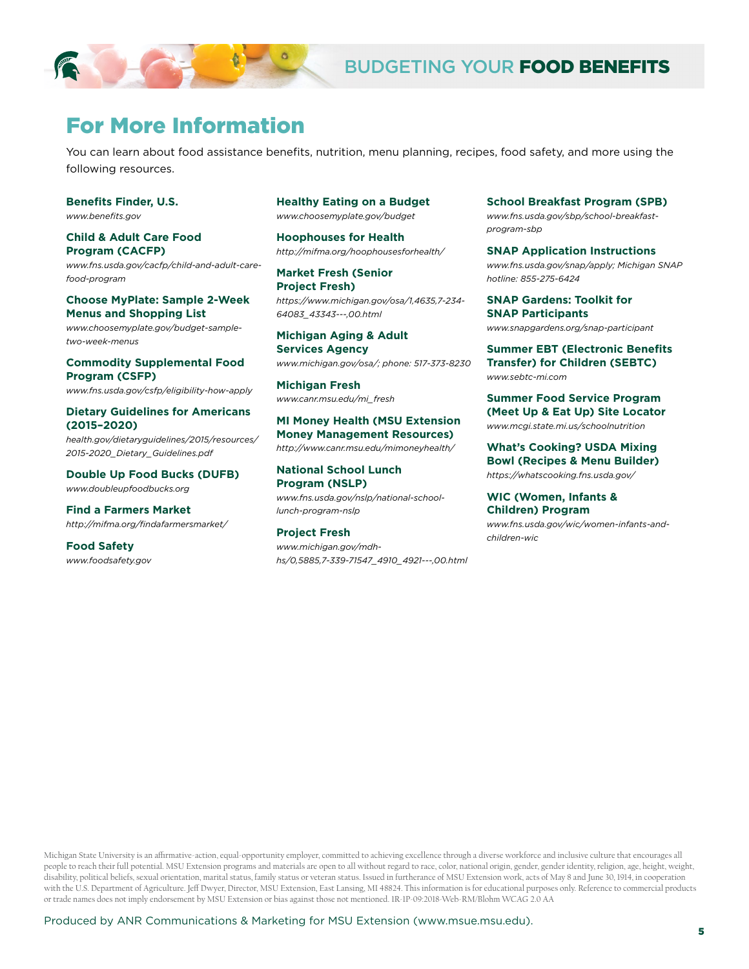

### For More Information

You can learn about food assistance benefits, nutrition, menu planning, recipes, food safety, and more using the following resources.

**Benefts Finder, U.S.**  *[www.benefts.gov](http://www.benefits.gov)* 

**Child & Adult Care Food Program (CACFP)**  *[www.fns.usda.gov/cacfp/child-and-adult-care](http://www.fns.usda.gov/cacfp/child-and-adult-care-food-program)[food-program](http://www.fns.usda.gov/cacfp/child-and-adult-care-food-program)* 

#### **Choose MyPlate: Sample 2-Week Menus and Shopping List**

*[www.choosemyplate.gov/budget-sample](http://www.choosemyplate.gov/budget-sample- two-week-menus)[two-week-menus](http://www.choosemyplate.gov/budget-sample- two-week-menus)* 

**Commodity Supplemental Food Program (CSFP)**  *[www.fns.usda.gov/csfp/eligibility-how-apply](http://www.fns.usda.gov/csfp/eligibility-how-apply)* 

#### **Dietary Guidelines for Americans (2015–2020)**

*[health.gov/dietaryguidelines/2015/resources/](http://health.gov/dietaryguidelines/2015/resources/ 2015-2020_Dietary_Guidelines.pdf)  [2015-2020\\_Dietary\\_Guidelines.pdf](http://health.gov/dietaryguidelines/2015/resources/ 2015-2020_Dietary_Guidelines.pdf)* 

**Double Up Food Bucks (DUFB)**  *[www.doubleupfoodbucks.org](http://www.doubleupfoodbucks.org)* 

**Find a Farmers Market**  *[http://mifma.org/fndafarmersmarket/](http://mifma.org/findafarmersmarket/)* 

**Food Safety**  *[www.foodsafety.gov](http://www.foodsafety.gov)*  **Healthy Eating on a Budget**  *[www.choosemyplate.gov/budget](http://www.choosemyplate.gov/budget)* 

**Hoophouses for Health**  *<http://mifma.org/hoophousesforhealth/>* 

**Market Fresh (Senior Project Fresh)**  *[https://www.michigan.gov/osa/1,4635,7-234-](https://www.michigan.gov/osa/1,4635,7-234-64083_43343---,00.html) [64083\\_43343---,00.html](https://www.michigan.gov/osa/1,4635,7-234-64083_43343---,00.html)* 

**Michigan Aging & Adult Services Agency**  *[www.michigan.gov/osa/;](http://www.michigan.gov/osa/) phone: 517-373-8230* 

**Michigan Fresh**  *[www.canr.msu.edu/mi\\_fresh](http://www.canr.msu.edu/mi_fresh)* 

**MI Money Health (MSU Extension Money Management Resources)**  *<http://www.canr.msu.edu/mimoneyhealth/>*

**National School Lunch Program (NSLP)**  *[www.fns.usda.gov/nslp/national-school](http://www.fns.usda.gov/nslp/national-school- lunch-program-nslp)[lunch-program-nslp](http://www.fns.usda.gov/nslp/national-school- lunch-program-nslp)* 

**Project Fresh**  *[www.michigan.gov/mdh](http://www.michigan.gov/mdhhs/0,5885,7-339-71547_4910_4921---,00.html)[hs/0,5885,7-339-71547\\_4910\\_4921---,00.html](http://www.michigan.gov/mdhhs/0,5885,7-339-71547_4910_4921---,00.html)*  **School Breakfast Program (SPB)**  *[www.fns.usda.gov/sbp/school-breakfast](http://www.fns.usda.gov/sbp/school-breakfast- program-sbp)[program-sbp](http://www.fns.usda.gov/sbp/school-breakfast- program-sbp)* 

**SNAP Application Instructions**  *[www.fns.usda.gov/snap/apply; Michigan SNAP](http://www.fns.usda.gov/snap/apply; Michigan SNAP hotline: 855-275-6424)  [hotline: 855-275-6424](http://www.fns.usda.gov/snap/apply; Michigan SNAP hotline: 855-275-6424)* 

**SNAP Gardens: Toolkit for SNAP Participants**  *[www.snapgardens.org/snap-participant](http://www.snapgardens.org/snap-participant)* 

**Summer EBT (Electronic Benefits Transfer) for Children (SEBTC)**  *[www.sebtc-mi.com](http://www.sebtc-mi.com)* 

**Summer Food Service Program (Meet Up & Eat Up) Site Locator**  *[www.mcgi.state.mi.us/schoolnutrition](http://www.mcgi.state.mi.us/schoolnutrition)* 

**What's Cooking? USDA Mixing Bowl (Recipes & Menu Builder)**  *<https://whatscooking.fns.usda.gov/>* 

#### **WIC (Women, Infants & Children) Program**

*www.fns.usda.gov/wic/women-infants-andchildren-wic* 

Michigan State University is an afrmative-action, equal-opportunity employer, committed to achieving excellence through a diverse workforce and inclusive culture that encourages all people to reach their full potential. MSU Extension programs and materials are open to all without regard to race, color, national origin, gender, gender identity, religion, age, height, weight, disability, political beliefs, sexual orientation, marital status, family status or veteran status. Issued in furtherance of MSU Extension work, acts of May 8 and June 30, 1914, in cooperation with the U.S. Department of Agriculture. Jeff Dwyer, Director, MSU Extension, East Lansing, MI 48824. This information is for educational purposes only. Reference to commercial products or trade names does not imply endorsement by MSU Extension or bias against those not mentioned. 1R-1P-09:2018-Web-RM/Blohm WCAG 2.0 AA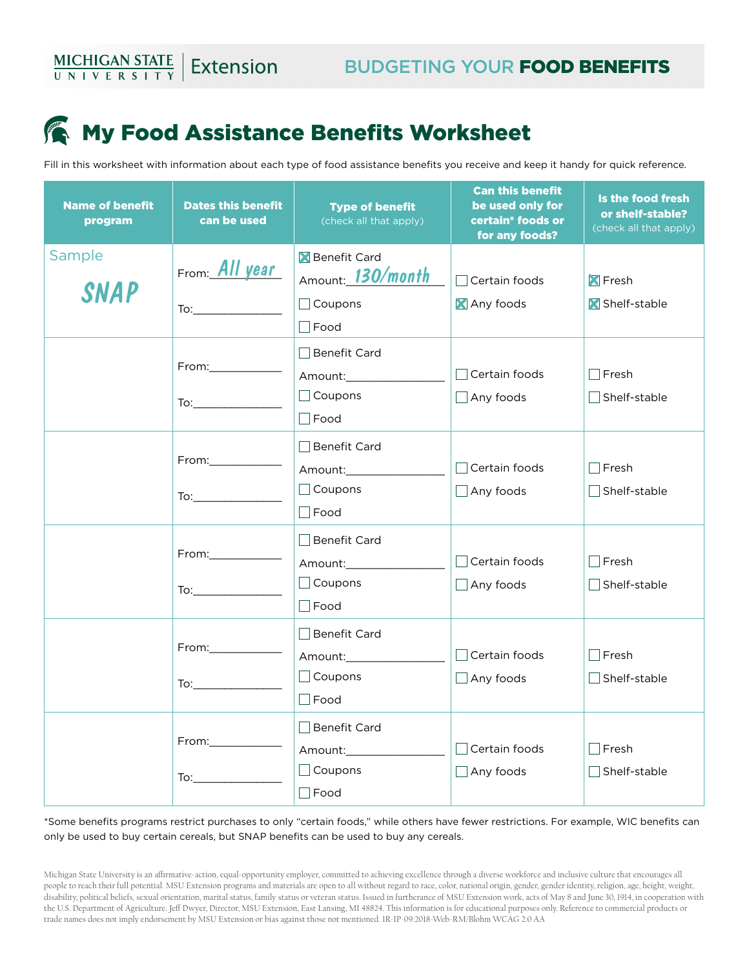## **My Food Assistance Benefits Worksheet**

Fill in this worksheet with information about each type of food assistance benefts you receive and keep it handy for quick reference.

| <b>Name of benefit</b><br>program | <b>Dates this benefit</b><br>can be used                                                                                                                                                                                                             | <b>Type of benefit</b><br>(check all that apply)                              | <b>Can this benefit</b><br>be used only for<br>certain* foods or<br>for any foods? | Is the food fresh<br>or shelf-stable?<br>(check all that apply) |
|-----------------------------------|------------------------------------------------------------------------------------------------------------------------------------------------------------------------------------------------------------------------------------------------------|-------------------------------------------------------------------------------|------------------------------------------------------------------------------------|-----------------------------------------------------------------|
| Sample<br><b>SNAP</b>             | From All year<br>$\text{To:}\_$                                                                                                                                                                                                                      | <b>X</b> Benefit Card<br>Amount: \$130/month<br>$\Box$ Coupons<br>$\Box$ Food | $\overline{\phantom{a}}$ Certain foods<br>Any foods                                | <b>X</b> Fresh<br>Shelf-stable                                  |
|                                   | $From: \_\_\_\_\_\_\_$                                                                                                                                                                                                                               | ∣∣Benefit Card<br>$\Box$ Coupons<br>$\Box$ Food                               | $\Box$ Certain foods<br>$\Box$ Any foods                                           | Fresh<br>Shelf-stable                                           |
|                                   |                                                                                                                                                                                                                                                      | Benefit Card<br>$\Box$ Coupons<br>$\Box$ Food                                 | $\Box$ Certain foods<br>$\Box$ Any foods                                           | Fresh<br>Shelf-stable                                           |
|                                   | From:_____________<br>To: and the state of the state of the state of the state of the state of the state of the state of the state of the state of the state of the state of the state of the state of the state of the state of the state of the st | │ │Benefit Card<br>$\Box$ Coupons<br>$\Box$ Food                              | Certain foods<br>$\Box$ Any foods                                                  | Fresh<br>Shelf-stable                                           |
|                                   | From:_____________                                                                                                                                                                                                                                   | Benefit Card<br>Amount: Amount:<br>$\Box$ Coupons<br>$\Box$ Food              | $\Box$ Certain foods<br>$\Box$ Any foods                                           | Fresh<br>Shelf-stable                                           |
|                                   | From:___________                                                                                                                                                                                                                                     | │ │Benefit Card<br>Amount:________________<br>$\Box$ Coupons<br>$\Box$ Food   | $\Box$ Certain foods<br>$\Box$ Any foods                                           | Fresh<br>Shelf-stable                                           |

\*Some benefts programs restrict purchases to only "certain foods," while others have fewer restrictions. For example, WIC benefts can only be used to buy certain cereals, but SNAP benefts can be used to buy any cereals.

Michigan State University is an afrmative-action, equal-opportunity employer, committed to achieving excellence through a diverse workforce and inclusive culture that encourages all people to reach their full potential. MSU Extension programs and materials are open to all without regard to race, color, national origin, gender, gender identity, religion, age, height, weight, disability, political beliefs, sexual orientation, marital status, family status or veteran status. Issued in furtherance of MSU Extension work, acts of May 8 and June 30, 1914, in cooperation with the U.S. Department of Agriculture. Jef Dwyer, Director, MSU Extension, East Lansing, MI 48824. This information is for educational purposes only. Reference to commercial products or trade names does not imply endorsement by MSU Extension or bias against those not mentioned. 1R-1P-09:2018-Web-RM/Blohm WCAG 2.0 AA